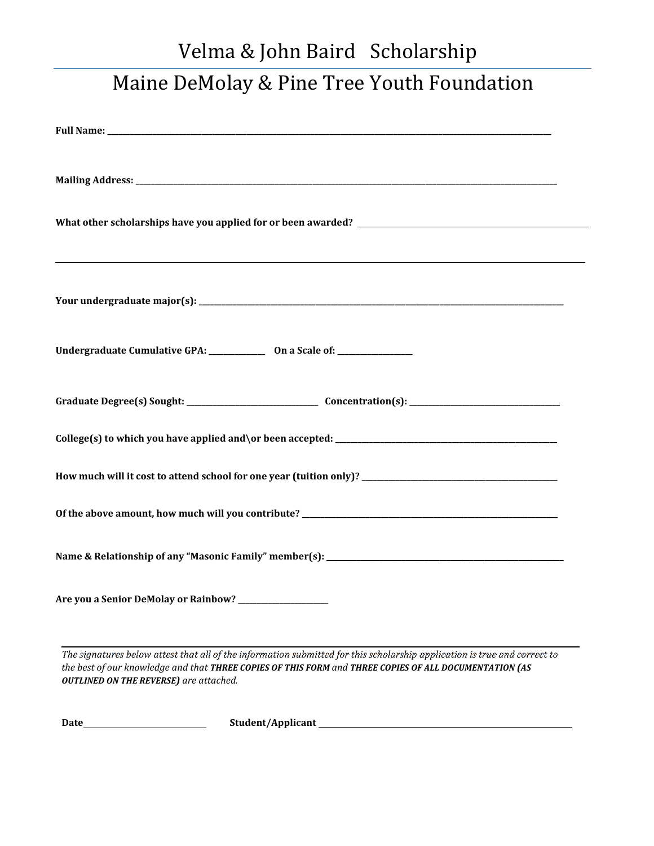## Velma & John Baird Scholarship Maine DeMolay & Pine Tree Youth Foundation

| <u> 1989 - Johann Barn, amerikan bernama di sebagai bernama di sebagai bernama di sebagai bernama di sebagai bern</u> |
|-----------------------------------------------------------------------------------------------------------------------|
| Undergraduate Cumulative GPA: ______________ On a Scale of: _______________                                           |
|                                                                                                                       |
|                                                                                                                       |
|                                                                                                                       |
|                                                                                                                       |
|                                                                                                                       |
| Are you a Senior DeMolay or Rainbow? ___________________                                                              |
|                                                                                                                       |

*The signatures below attest that all of the information submitted for this scholarship application is true and correct to the best of our knowledge and that THREE COPIES OF THIS FORM and THREE COPIES OF ALL DOCUMENTATION (AS OUTLINED ON THE REVERSE) are attached.*

Date **Mate Student/Applicant Student/Applicant Student**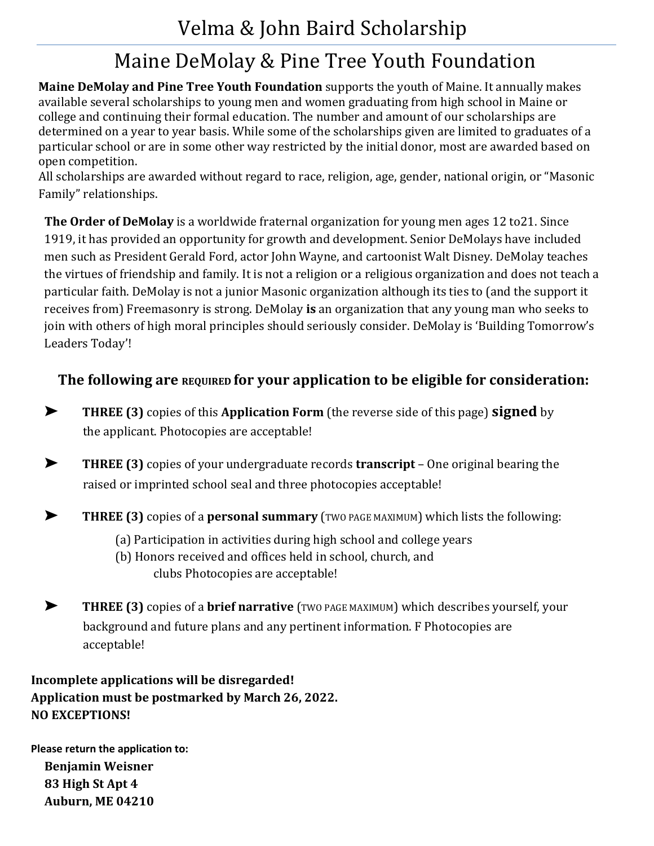## Velma & John Baird Scholarship

## Maine DeMolay & Pine Tree Youth Foundation

**Maine DeMolay and Pine Tree Youth Foundation** supports the youth of Maine. It annually makes available several scholarships to young men and women graduating from high school in Maine or college and continuing their formal education. The number and amount of our scholarships are determined on a year to year basis. While some of the scholarships given are limited to graduates of a particular school or are in some other way restricted by the initial donor, most are awarded based on open competition.

All scholarships are awarded without regard to race, religion, age, gender, national origin, or "Masonic Family" relationships.

**The Order of DeMolay** is a worldwide fraternal organization for young men ages 12 to21. Since 1919, it has provided an opportunity for growth and development. Senior DeMolays have included men such as President Gerald Ford, actor John Wayne, and cartoonist Walt Disney. DeMolay teaches the virtues of friendship and family. It is not a religion or a religious organization and does not teach a particular faith. DeMolay is not a junior Masonic organization although its ties to (and the support it receives from) Freemasonry is strong. DeMolay **is** an organization that any young man who seeks to join with others of high moral principles should seriously consider. DeMolay is 'Building Tomorrow's Leaders Today'!

## **The following are REQUIRED for your application to be eligible for consideration:**

- ➤ **THREE (3)** copies of this **Application Form** (the reverse side of this page) **signed** by the applicant. Photocopies are acceptable!
- ➤ **THREE (3)** copies of your undergraduate records **transcript**  One original bearing the raised or imprinted school seal and three photocopies acceptable!
- ➤ **THREE (3)** copies of a **personal summary** (TWO PAGE MAXIMUM) which lists the following:
	- (a) Participation in activities during high school and college years
	- (b) Honors received and offices held in school, church, and clubs Photocopies are acceptable!
- ➤ **THREE (3)** copies of a **brief narrative** (TWO PAGE MAXIMUM) which describes yourself, your background and future plans and any pertinent information. F Photocopies are acceptable!

**Incomplete applications will be disregarded! Application must be postmarked by March 26, 2022. NO EXCEPTIONS!** 

**Please return the application to: Benjamin Weisner 83 High St Apt 4 Auburn, ME 04210**